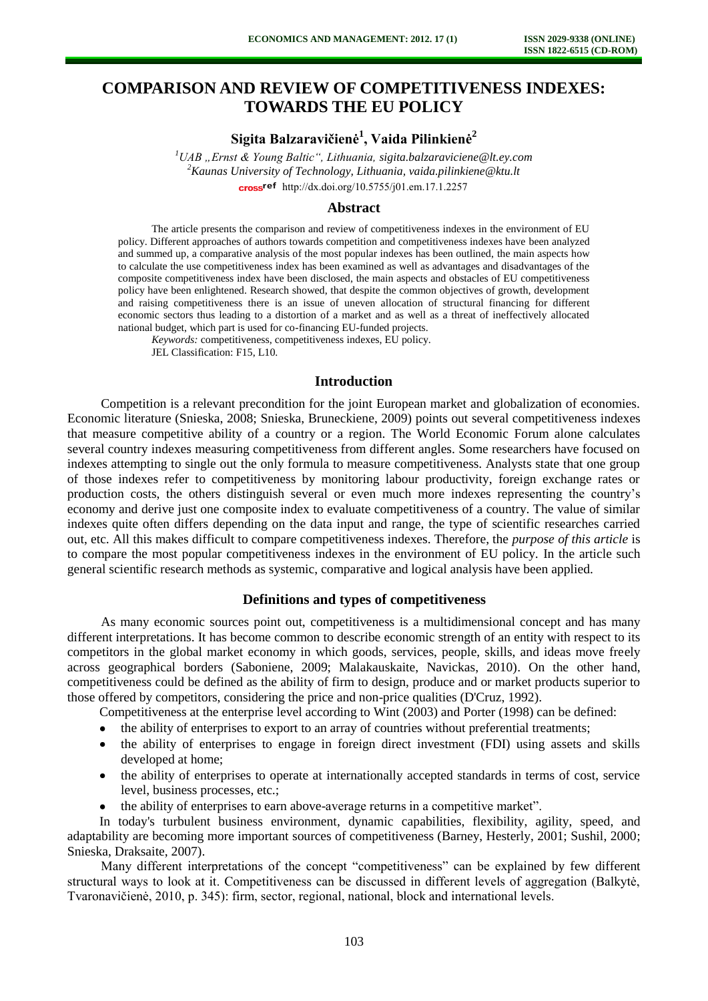# **COMPARISON AND REVIEW OF COMPETITIVENESS INDEXES: TOWARDS THE EU POLICY**

**Sigita Balzaravičienė<sup>1</sup> , Vaida Pilinkienė<sup>2</sup>**

*<sup>1</sup>UAB "Ernst & Young Baltic", Lithuania, [sigita.balzaraviciene@lt.ey.com](mailto:sigita.balzaraviciene@lt.ey.com) <sup>2</sup>Kaunas University of Technology, Lithuania, vaida.pilinkiene@ktu.lt*  [http://dx.doi.org/10.5755/j01.e](http://dx.doi.org/10.5755/j01.em.17.1.2257)m.17.1.2257

#### **Abstract**

The article presents the comparison and review of competitiveness indexes in the environment of EU policy. Different approaches of authors towards competition and competitiveness indexes have been analyzed and summed up, a comparative analysis of the most popular indexes has been outlined, the main aspects how to calculate the use competitiveness index has been examined as well as advantages and disadvantages of the composite competitiveness index have been disclosed, the main aspects and obstacles of EU competitiveness policy have been enlightened. Research showed, that despite the common objectives of growth, development and raising competitiveness there is an issue of uneven allocation of structural financing for different economic sectors thus leading to a distortion of a market and as well as a threat of ineffectively allocated national budget, which part is used for co-financing EU-funded projects.

*Keywords:* competitiveness, competitiveness indexes, EU policy.

JEL Classification: F15, L10.

#### **Introduction**

Competition is a relevant precondition for the joint European market and globalization of economies. Economic literature (Snieska, 2008; Snieska, Bruneckiene, 2009) points out several competitiveness indexes that measure competitive ability of a country or a region. The World Economic Forum alone calculates several country indexes measuring competitiveness from different angles. Some researchers have focused on indexes attempting to single out the only formula to measure competitiveness. Analysts state that one group of those indexes refer to competitiveness by monitoring labour productivity, foreign exchange rates or production costs, the others distinguish several or even much more indexes representing the country's economy and derive just one composite index to evaluate competitiveness of a country. The value of similar indexes quite often differs depending on the data input and range, the type of scientific researches carried out, etc. All this makes difficult to compare competitiveness indexes. Therefore, the *purpose of this article* is to compare the most popular competitiveness indexes in the environment of EU policy. In the article such general scientific research methods as systemic, comparative and logical analysis have been applied.

### **Definitions and types of competitiveness**

As many economic sources point out, competitiveness is a multidimensional concept and has many different interpretations. It has become common to describe economic strength of an entity with respect to its competitors in the global market economy in which goods, services, people, skills, and ideas move freely across geographical borders (Saboniene, 2009; Malakauskaite, Navickas, 2010). On the other hand, competitiveness could be defined as the ability of firm to design, produce and or market products superior to those offered by competitors, considering the price and non-price qualities (D'Cruz, 1992).

Competitiveness at the enterprise level according to Wint (2003) and Porter (1998) can be defined:

- the ability of enterprises to export to an array of countries without preferential treatments;
- the ability of enterprises to engage in foreign direct investment (FDI) using assets and skills developed at home;
- $\bullet$ the ability of enterprises to operate at internationally accepted standards in terms of cost, service level, business processes, etc.;
- the ability of enterprises to earn above-average returns in a competitive market".  $\bullet$

In today's turbulent business environment, dynamic capabilities, flexibility, agility, speed, and adaptability are becoming more important sources of competitiveness (Barney, Hesterly, 2001; Sushil, 2000; Snieska, Draksaite, 2007).

Many different interpretations of the concept "competitiveness" can be explained by few different structural ways to look at it. Competitiveness can be discussed in different levels of aggregation (Balkytė, Tvaronavičienė, 2010, p. 345): firm, sector, regional, national, block and international levels.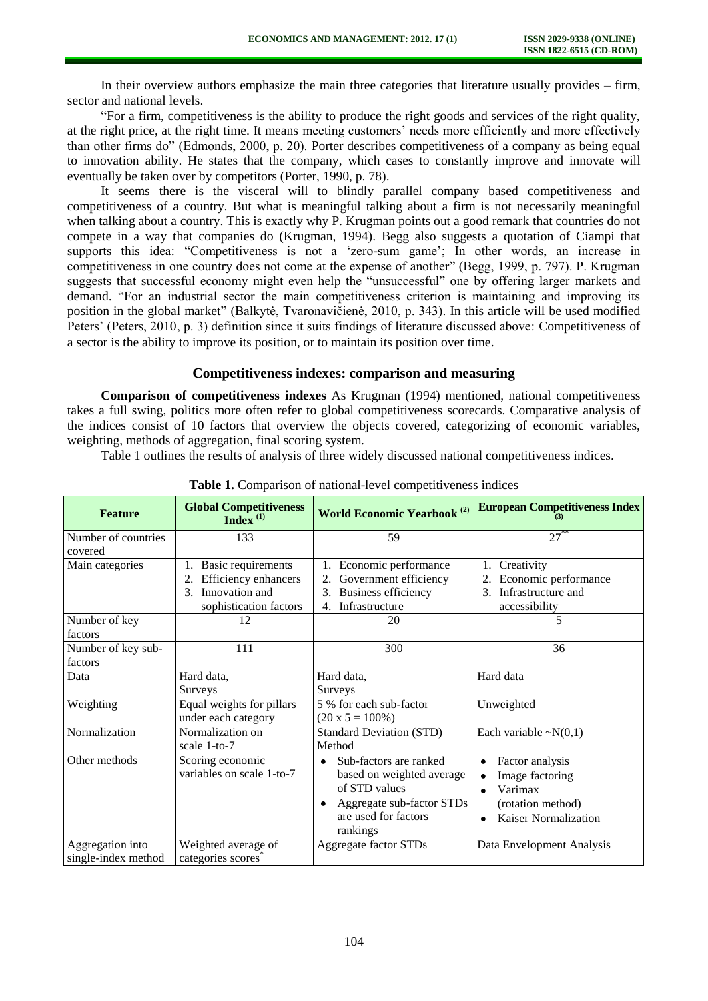In their overview authors emphasize the main three categories that literature usually provides – firm, sector and national levels.

"For a firm, competitiveness is the ability to produce the right goods and services of the right quality, at the right price, at the right time. It means meeting customers' needs more efficiently and more effectively than other firms do" (Edmonds, 2000, p. 20). Porter describes competitiveness of a company as being equal to innovation ability. He states that the company, which cases to constantly improve and innovate will eventually be taken over by competitors (Porter, 1990, p. 78).

It seems there is the visceral will to blindly parallel company based competitiveness and competitiveness of a country. But what is meaningful talking about a firm is not necessarily meaningful when talking about a country. This is exactly why P. Krugman points out a good remark that countries do not compete in a way that companies do (Krugman, 1994). Begg also suggests a quotation of Ciampi that supports this idea: "Competitiveness is not a 'zero-sum game'; In other words, an increase in competitiveness in one country does not come at the expense of another" (Begg, 1999, p. 797). P. Krugman suggests that successful economy might even help the "unsuccessful" one by offering larger markets and demand. "For an industrial sector the main competitiveness criterion is maintaining and improving its position in the global market" (Balkytė, Tvaronavičienė, 2010, p. 343). In this article will be used modified Peters' (Peters, 2010, p. 3) definition since it suits findings of literature discussed above: Competitiveness of a sector is the ability to improve its position, or to maintain its position over time.

### **Competitiveness indexes: comparison and measuring**

**Comparison of competitiveness indexes** As Krugman (1994) mentioned, national competitiveness takes a full swing, politics more often refer to global competitiveness scorecards. Comparative analysis of the indices consist of 10 factors that overview the objects covered, categorizing of economic variables, weighting, methods of aggregation, final scoring system.

Table 1 outlines the results of analysis of three widely discussed national competitiveness indices.

| <b>Feature</b>                          | <b>Global Competitiveness</b><br>Index $(1)$                                                                                             | <b>World Economic Yearbook</b> <sup>(2)</sup>                                                                                                      | <b>European Competitiveness Index</b>                                                                                     |
|-----------------------------------------|------------------------------------------------------------------------------------------------------------------------------------------|----------------------------------------------------------------------------------------------------------------------------------------------------|---------------------------------------------------------------------------------------------------------------------------|
| Number of countries<br>covered          | 133                                                                                                                                      | 59                                                                                                                                                 | $27^*$                                                                                                                    |
| Main categories                         | <b>Basic requirements</b><br>1.<br>Efficiency enhancers<br>2.<br>Innovation and<br>$\mathcal{F}_{\mathcal{L}}$<br>sophistication factors | Economic performance<br>Government efficiency<br><b>Business efficiency</b><br>3.<br>Infrastructure<br>4.                                          | Creativity<br>1.<br>Economic performance<br>2.<br>Infrastructure and<br>$\mathcal{E}$<br>accessibility                    |
| Number of key<br>factors                | 12                                                                                                                                       | 20                                                                                                                                                 | 5                                                                                                                         |
| Number of key sub-<br>factors           | 111                                                                                                                                      | 300                                                                                                                                                | 36                                                                                                                        |
| Data                                    | Hard data,<br>Surveys                                                                                                                    | Hard data,<br><b>Surveys</b>                                                                                                                       | Hard data                                                                                                                 |
| Weighting                               | Equal weights for pillars<br>under each category                                                                                         | 5 % for each sub-factor<br>$(20 \times 5 = 100\%)$                                                                                                 | Unweighted                                                                                                                |
| Normalization                           | Normalization on<br>scale 1-to-7                                                                                                         | <b>Standard Deviation (STD)</b><br>Method                                                                                                          | Each variable $\sim N(0,1)$                                                                                               |
| Other methods                           | Scoring economic<br>variables on scale 1-to-7                                                                                            | Sub-factors are ranked<br>$\bullet$<br>based on weighted average<br>of STD values<br>Aggregate sub-factor STDs<br>are used for factors<br>rankings | Factor analysis<br>Image factoring<br>٠<br>Varimax<br>$\bullet$<br>(rotation method)<br>Kaiser Normalization<br>$\bullet$ |
| Aggregation into<br>single-index method | Weighted average of<br>categories scores                                                                                                 | Aggregate factor STDs                                                                                                                              | Data Envelopment Analysis                                                                                                 |

Table 1. Comparison of national-level competitiveness indices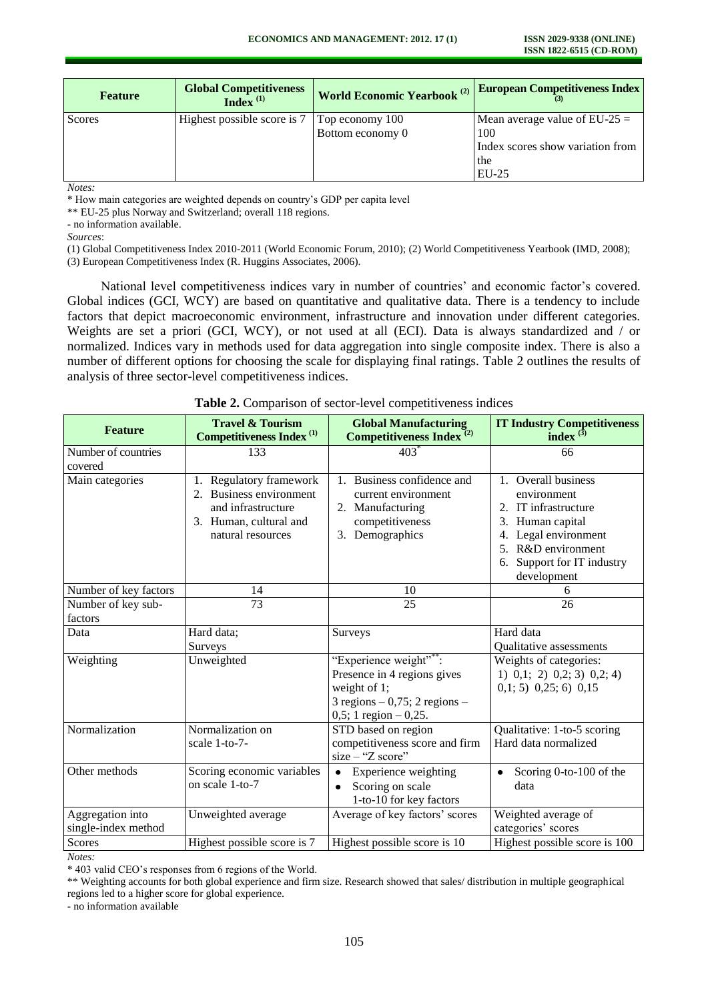| <b>Feature</b> | <b>Global Competitiveness</b><br>Index $(1)$ | <b>World Economic Yearbook (2)</b> | <b>European Competitiveness Index</b>   |
|----------------|----------------------------------------------|------------------------------------|-----------------------------------------|
| Scores         | Highest possible score is 7                  | Top economy 100                    | Mean average value of $EU-25 =$         |
|                |                                              | Bottom economy 0                   | 100<br>Index scores show variation from |
|                |                                              |                                    | the<br>$EU-25$                          |

*Notes:* 

\* How main categories are weighted depends on country's GDP per capita level

\*\* EU-25 plus Norway and Switzerland; overall 118 regions.

- no information available.

*Sources*:

(1) Global Competitiveness Index 2010-2011 (World Economic Forum, 2010); (2) World Competitiveness Yearbook (IMD, 2008);

(3) European Competitiveness Index (R. Huggins Associates, 2006).

National level competitiveness indices vary in number of countries' and economic factor's covered. Global indices (GCI, WCY) are based on quantitative and qualitative data. There is a tendency to include factors that depict macroeconomic environment, infrastructure and innovation under different categories. Weights are set a priori (GCI, WCY), or not used at all (ECI). Data is always standardized and / or normalized. Indices vary in methods used for data aggregation into single composite index. There is also a number of different options for choosing the scale for displaying final ratings. Table 2 outlines the results of analysis of three sector-level competitiveness indices.

| <b>Feature</b>                          | <b>Travel &amp; Tourism</b><br><b>Competitiveness Index</b> <sup>(1)</sup>                                                 | <b>Global Manufacturing</b><br>Competitiveness Index <sup>(2)</sup>                                                                       | <b>IT Industry Competitiveness</b><br>index $(3)$                                                                                                                                              |
|-----------------------------------------|----------------------------------------------------------------------------------------------------------------------------|-------------------------------------------------------------------------------------------------------------------------------------------|------------------------------------------------------------------------------------------------------------------------------------------------------------------------------------------------|
| Number of countries<br>covered          | 133                                                                                                                        | $403*$                                                                                                                                    | 66                                                                                                                                                                                             |
| Main categories                         | Regulatory framework<br>1.<br>2. Business environment<br>and infrastructure<br>3. Human, cultural and<br>natural resources | 1. Business confidence and<br>current environment<br>2. Manufacturing<br>competitiveness<br>3. Demographics                               | 1. Overall business<br>environment<br>2. IT infrastructure<br>3. Human capital<br>Legal environment<br>4.<br>R&D environment<br>5 <sub>1</sub><br>Support for IT industry<br>6.<br>development |
| Number of key factors                   | 14                                                                                                                         | 10                                                                                                                                        | 6                                                                                                                                                                                              |
| Number of key sub-<br>factors           | 73                                                                                                                         | 25                                                                                                                                        | 26                                                                                                                                                                                             |
| Data                                    | Hard data;<br>Surveys                                                                                                      | Surveys                                                                                                                                   | Hard data<br>Qualitative assessments                                                                                                                                                           |
| Weighting                               | Unweighted                                                                                                                 | "Experience weight"**:<br>Presence in 4 regions gives<br>weight of 1;<br>$3$ regions $-0,75$ ; 2 regions $-$<br>$0,5; 1$ region $-0,25$ . | Weights of categories:<br>$1)$ 0,1; 2) 0,2; 3) 0,2; 4)<br>$0,1; 5$ $0,25; 6$ $0,15$                                                                                                            |
| Normalization                           | Normalization on<br>scale 1-to-7-                                                                                          | STD based on region<br>competitiveness score and firm<br>$size - "Z score"$                                                               | Qualitative: 1-to-5 scoring<br>Hard data normalized                                                                                                                                            |
| Other methods                           | Scoring economic variables<br>on scale 1-to-7                                                                              | Experience weighting<br>$\bullet$<br>Scoring on scale<br>$\bullet$<br>1-to-10 for key factors                                             | Scoring 0-to-100 of the<br>data                                                                                                                                                                |
| Aggregation into<br>single-index method | Unweighted average                                                                                                         | Average of key factors' scores                                                                                                            | Weighted average of<br>categories' scores                                                                                                                                                      |
| Scores                                  | Highest possible score is 7                                                                                                | Highest possible score is 10                                                                                                              | Highest possible score is 100                                                                                                                                                                  |

#### **Table 2.** Comparison of sector-level competitiveness indices

*Notes:* 

- no information available

<sup>\* 403</sup> valid CEO's responses from 6 regions of the World.

<sup>\*\*</sup> Weighting accounts for both global experience and firm size. Research showed that sales/ distribution in multiple geographical regions led to a higher score for global experience.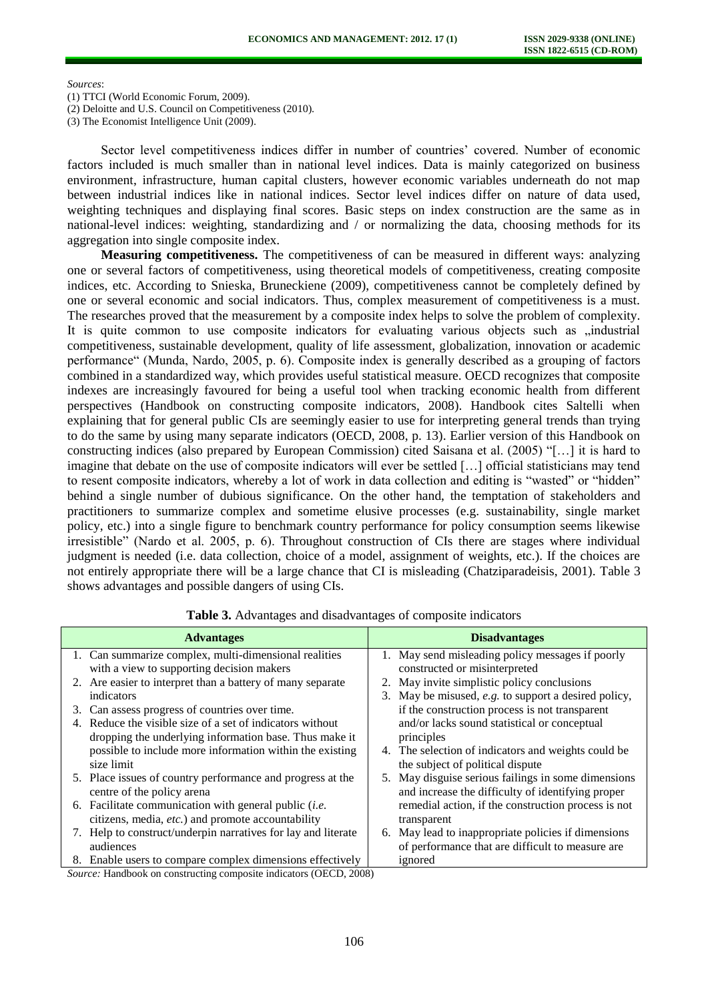*Sources*:

(1) TTCI (World Economic Forum, 2009).

(2) Deloitte and U.S. Council on Competitiveness (2010).

(3) The Economist Intelligence Unit (2009).

Sector level competitiveness indices differ in number of countries' covered. Number of economic factors included is much smaller than in national level indices. Data is mainly categorized on business environment, infrastructure, human capital clusters, however economic variables underneath do not map between industrial indices like in national indices. Sector level indices differ on nature of data used, weighting techniques and displaying final scores. Basic steps on index construction are the same as in national-level indices: weighting, standardizing and / or normalizing the data, choosing methods for its aggregation into single composite index.

**Measuring competitiveness.** The competitiveness of can be measured in different ways: analyzing one or several factors of competitiveness, using theoretical models of competitiveness, creating composite indices, etc. According to Snieska, Bruneckiene (2009), competitiveness cannot be completely defined by one or several economic and social indicators. Thus, complex measurement of competitiveness is a must. The researches proved that the measurement by a composite index helps to solve the problem of complexity. It is quite common to use composite indicators for evaluating various objects such as  $\alpha$  industrial competitiveness, sustainable development, quality of life assessment, globalization, innovation or academic performance" (Munda, Nardo, 2005, p. 6). Composite index is generally described as a grouping of factors combined in a standardized way, which provides useful statistical measure. OECD recognizes that composite indexes are increasingly favoured for being a useful tool when tracking economic health from different perspectives (Handbook on constructing composite indicators, 2008). Handbook cites Saltelli when explaining that for general public CIs are seemingly easier to use for interpreting general trends than trying to do the same by using many separate indicators (OECD, 2008, p. 13). Earlier version of this Handbook on constructing indices (also prepared by European Commission) cited Saisana et al. (2005) "[…] it is hard to imagine that debate on the use of composite indicators will ever be settled […] official statisticians may tend to resent composite indicators, whereby a lot of work in data collection and editing is "wasted" or "hidden" behind a single number of dubious significance. On the other hand, the temptation of stakeholders and practitioners to summarize complex and sometime elusive processes (e.g. sustainability, single market policy, etc.) into a single figure to benchmark country performance for policy consumption seems likewise irresistible" (Nardo et al. 2005, p. 6). Throughout construction of CIs there are stages where individual judgment is needed (i.e. data collection, choice of a model, assignment of weights, etc.). If the choices are not entirely appropriate there will be a large chance that CI is misleading (Chatziparadeisis, 2001). Table 3 shows advantages and possible dangers of using CIs.

| <b>Advantages</b>                                                | <b>Disadvantages</b>                                 |
|------------------------------------------------------------------|------------------------------------------------------|
| 1. Can summarize complex, multi-dimensional realities            | 1. May send misleading policy messages if poorly     |
| with a view to supporting decision makers                        | constructed or misinterpreted                        |
| 2. Are easier to interpret than a battery of many separate       | 2. May invite simplistic policy conclusions          |
| indicators                                                       | 3. May be misused, e.g. to support a desired policy, |
| 3. Can assess progress of countries over time.                   | if the construction process is not transparent       |
| 4. Reduce the visible size of a set of indicators without        | and/or lacks sound statistical or conceptual         |
| dropping the underlying information base. Thus make it           | principles                                           |
| possible to include more information within the existing         | 4. The selection of indicators and weights could be  |
| size limit                                                       | the subject of political dispute                     |
| 5. Place issues of country performance and progress at the       | 5. May disguise serious failings in some dimensions  |
| centre of the policy arena                                       | and increase the difficulty of identifying proper    |
| 6. Facilitate communication with general public ( <i>i.e.</i>    | remedial action, if the construction process is not  |
| citizens, media, etc.) and promote accountability                | transparent                                          |
| Help to construct/underpin narratives for lay and literate<br>7. | 6. May lead to inappropriate policies if dimensions  |
| audiences                                                        | of performance that are difficult to measure are     |
| 8. Enable users to compare complex dimensions effectively        | ignored                                              |

**Table 3.** Advantages and disadvantages of composite indicators

*Source:* Handbook on constructing composite indicators (OECD, 2008)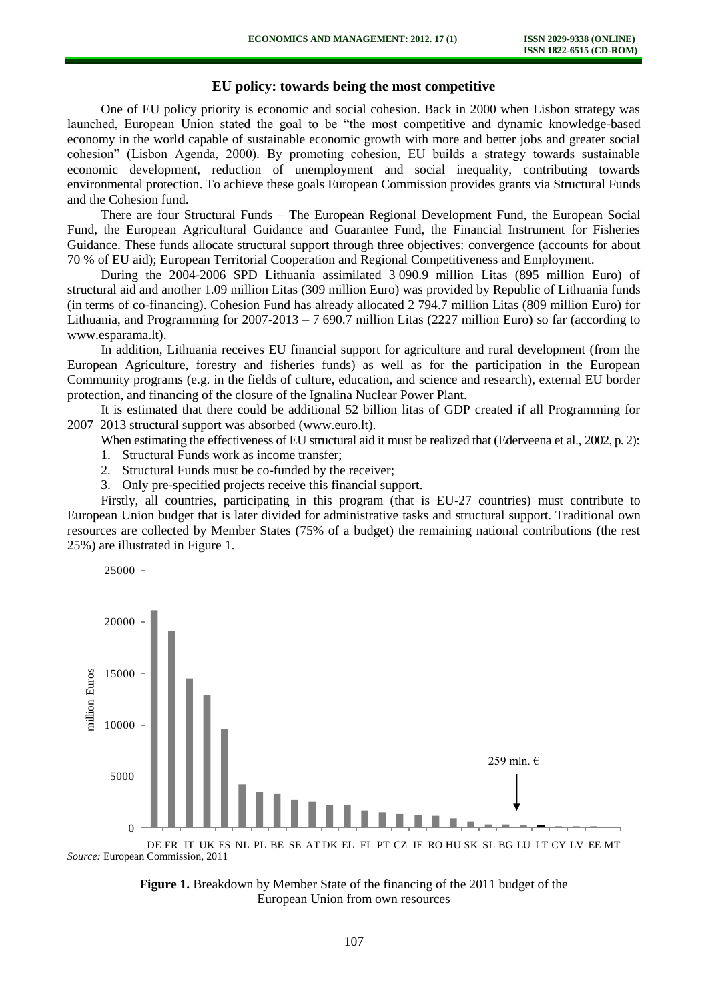# **EU policy: towards being the most competitive**

One of EU policy priority is economic and social cohesion. Back in 2000 when Lisbon strategy was launched, European Union stated the goal to be "the most competitive and dynamic knowledge-based economy in the world capable of sustainable economic growth with more and better jobs and greater social cohesion" (Lisbon Agenda, 2000). By promoting cohesion, EU builds a strategy towards sustainable economic development, reduction of unemployment and social inequality, contributing towards environmental protection. To achieve these goals European Commission provides grants via Structural Funds and the Cohesion fund.

There are four Structural Funds – The European Regional Development Fund, the European Social Fund, the European Agricultural Guidance and Guarantee Fund, the Financial Instrument for Fisheries Guidance. These funds allocate structural support through three objectives: convergence (accounts for about 70 % of EU aid); European Territorial Cooperation and Regional Competitiveness and Employment.

During the 2004-2006 SPD Lithuania assimilated 3 090.9 million Litas (895 million Euro) of structural aid and another 1.09 million Litas (309 million Euro) was provided by Republic of Lithuania funds (in terms of co-financing). Cohesion Fund has already allocated 2 794.7 million Litas (809 million Euro) for Lithuania, and Programming for  $2007-2013 - 7690.7$  million Litas (2227 million Euro) so far (according to www.esparama.lt).

In addition, Lithuania receives EU financial support for agriculture and rural development (from the European Agriculture, forestry and fisheries funds) as well as for the participation in the European Community programs (e.g. in the fields of culture, education, and science and research), external EU border protection, and financing of the closure of the Ignalina Nuclear Power Plant.

It is estimated that there could be additional 52 billion litas of GDP created if all Programming for 2007–2013 structural support was absorbed (www.euro.lt).

When estimating the effectiveness of EU structural aid it must be realized that (Ederveena et al., 2002, p. 2):

- 1. Structural Funds work as income transfer;
- 2. Structural Funds must be co-funded by the receiver;
- 3. Only pre-specified projects receive this financial support.

Firstly, all countries, participating in this program (that is EU-27 countries) must contribute to European Union budget that is later divided for administrative tasks and structural support. Traditional own resources are collected by Member States (75% of a budget) the remaining national contributions (the rest 25%) are illustrated in [Figure 1.](#page-4-0)



<span id="page-4-0"></span>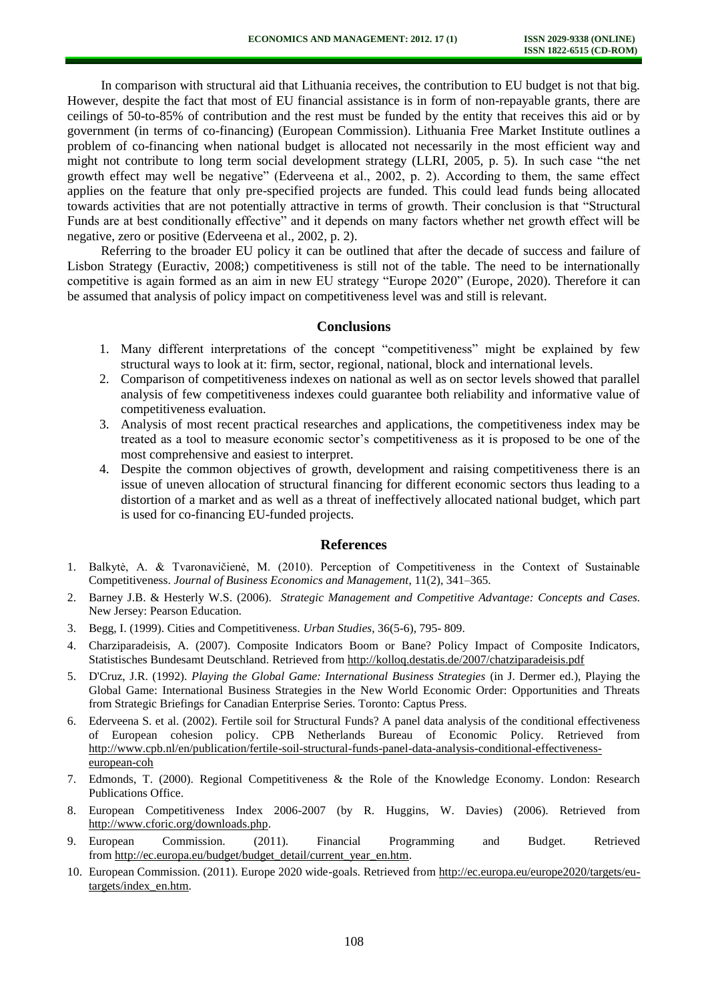In comparison with structural aid that Lithuania receives, the contribution to EU budget is not that big. However, despite the fact that most of EU financial assistance is in form of non-repayable grants, there are ceilings of 50-to-85% of contribution and the rest must be funded by the entity that receives this aid or by government (in terms of co-financing) (European Commission). Lithuania Free Market Institute outlines a problem of co-financing when national budget is allocated not necessarily in the most efficient way and might not contribute to long term social development strategy (LLRI, 2005, p. 5). In such case "the net growth effect may well be negative" (Ederveena et al., 2002, p. 2). According to them, the same effect applies on the feature that only pre-specified projects are funded. This could lead funds being allocated towards activities that are not potentially attractive in terms of growth. Their conclusion is that "Structural Funds are at best conditionally effective" and it depends on many factors whether net growth effect will be negative, zero or positive (Ederveena et al., 2002, p. 2).

Referring to the broader EU policy it can be outlined that after the decade of success and failure of Lisbon Strategy (Euractiv, 2008;) competitiveness is still not of the table. The need to be internationally competitive is again formed as an aim in new EU strategy "Europe 2020" (Europe, 2020). Therefore it can be assumed that analysis of policy impact on competitiveness level was and still is relevant.

### **Conclusions**

- 1. Many different interpretations of the concept "competitiveness" might be explained by few structural ways to look at it: firm, sector, regional, national, block and international levels.
- 2. Comparison of competitiveness indexes on national as well as on sector levels showed that parallel analysis of few competitiveness indexes could guarantee both reliability and informative value of competitiveness evaluation.
- 3. Analysis of most recent practical researches and applications, the competitiveness index may be treated as a tool to measure economic sector's competitiveness as it is proposed to be one of the most comprehensive and easiest to interpret.
- 4. Despite the common objectives of growth, development and raising competitiveness there is an issue of uneven allocation of structural financing for different economic sectors thus leading to a distortion of a market and as well as a threat of ineffectively allocated national budget, which part is used for co-financing EU-funded projects.

## **References**

- 1. Balkytė, A. & Tvaronavičienė, M. (2010). Perception of Competitiveness in the Context of Sustainable Competitiveness. *Journal of Business Economics and Management*, 11(2), 341–365.
- 2. Barney J.B. & Hesterly W.S. (2006). *Strategic Management and Competitive Advantage: Concepts and Cases.* New Jersey: Pearson Education.
- 3. Begg, I. (1999). Cities and Competitiveness. *Urban Studies*, 36(5-6), 795- 809.
- 4. Charziparadeisis, A. (2007). Composite Indicators Boom or Bane? Policy Impact of Composite Indicators, Statistisches Bundesamt Deutschland. Retrieved from<http://kolloq.destatis.de/2007/chatziparadeisis.pdf>
- 5. D'Cruz, J.R. (1992). *Playing the Global Game: International Business Strategies* (in J. Dermer ed.), Playing the Global Game: International Business Strategies in the New World Economic Order: Opportunities and Threats from Strategic Briefings for Canadian Enterprise Series. Toronto: Captus Press.
- 6. Ederveena S. et al. (2002). Fertile soil for Structural Funds? A panel data analysis of the conditional effectiveness of European cohesion policy. CPB Netherlands Bureau of Economic Policy. Retrieved from [http://www.cpb.nl/en/publication/fertile-soil-structural-funds-panel-data-analysis-conditional-effectiveness](http://www.cpb.nl/en/publication/fertile-soil-structural-funds-panel-data-analysis-conditional-effectiveness-european-coh)[european-coh](http://www.cpb.nl/en/publication/fertile-soil-structural-funds-panel-data-analysis-conditional-effectiveness-european-coh)
- 7. Edmonds, T. (2000). Regional Competitiveness & the Role of the Knowledge Economy. London: Research Publications Office.
- 8. European Competitiveness Index 2006-2007 (by R. Huggins, W. Davies) (2006). Retrieved from [http://www.cforic.org/downloads.php.](http://www.cforic.org/downloads.php)
- 9. European Commission. (2011). Financial Programming and Budget. Retrieved fro[m http://ec.europa.eu/budget/budget\\_detail/current\\_year\\_en.htm.](http://ec.europa.eu/budget/budget_detail/current_year_en.htm)
- 10. European Commission. (2011). Europe 2020 wide-goals. Retrieved from [http://ec.europa.eu/europe2020/targets/eu](http://ec.europa.eu/europe2020/targets/eu-targets/index_en.htm)[targets/index\\_en.htm.](http://ec.europa.eu/europe2020/targets/eu-targets/index_en.htm)